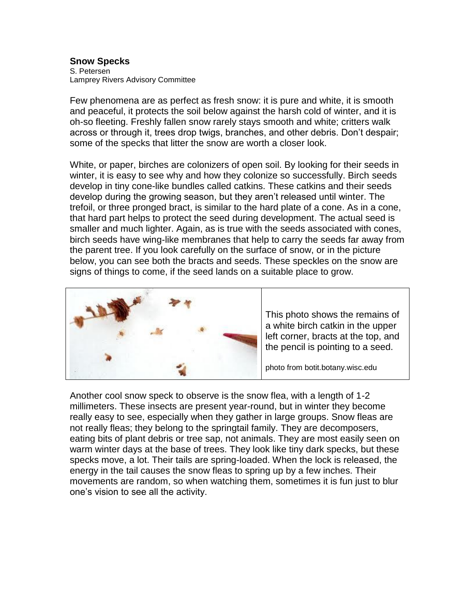## **Snow Specks** S. Petersen Lamprey Rivers Advisory Committee

Few phenomena are as perfect as fresh snow: it is pure and white, it is smooth and peaceful, it protects the soil below against the harsh cold of winter, and it is oh-so fleeting. Freshly fallen snow rarely stays smooth and white; critters walk across or through it, trees drop twigs, branches, and other debris. Don't despair; some of the specks that litter the snow are worth a closer look.

White, or paper, birches are colonizers of open soil. By looking for their seeds in winter, it is easy to see why and how they colonize so successfully. Birch seeds develop in tiny cone-like bundles called catkins. These catkins and their seeds develop during the growing season, but they aren't released until winter. The trefoil, or three pronged bract, is similar to the hard plate of a cone. As in a cone, that hard part helps to protect the seed during development. The actual seed is smaller and much lighter. Again, as is true with the seeds associated with cones, birch seeds have wing-like membranes that help to carry the seeds far away from the parent tree. If you look carefully on the surface of snow, or in the picture below, you can see both the bracts and seeds. These speckles on the snow are signs of things to come, if the seed lands on a suitable place to grow.



This photo shows the remains of a white birch catkin in the upper left corner, bracts at the top, and the pencil is pointing to a seed.

photo from botit.botany.wisc.edu

Another cool snow speck to observe is the snow flea, with a length of 1-2 millimeters. These insects are present year-round, but in winter they become really easy to see, especially when they gather in large groups. Snow fleas are not really fleas; they belong to the springtail family. They are decomposers, eating bits of plant debris or tree sap, not animals. They are most easily seen on warm winter days at the base of trees. They look like tiny dark specks, but these specks move, a lot. Their tails are spring-loaded. When the lock is released, the energy in the tail causes the snow fleas to spring up by a few inches. Their movements are random, so when watching them, sometimes it is fun just to blur one's vision to see all the activity.